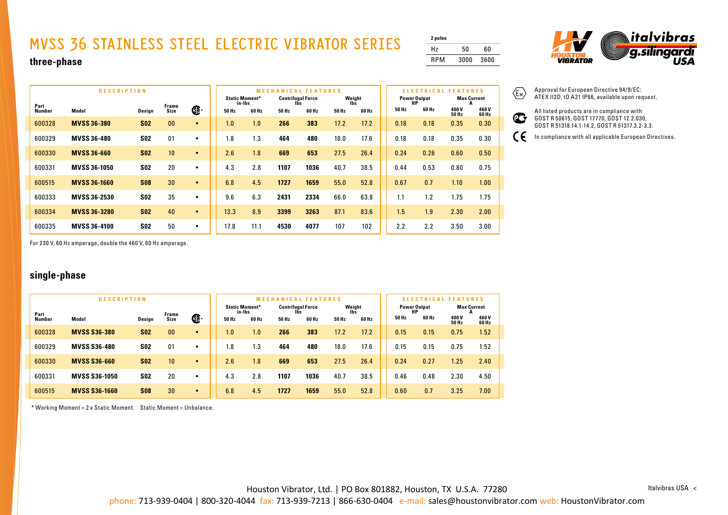## **MVSS 36 STAINLESS STEEL ELECTRIC VIBRATOR SERIES**

| 2 poles    |      |      |
|------------|------|------|
| Hz         | 50   | 60   |
| <b>RPM</b> | 3000 | 3600 |



**three-phase**

|                       | <b>DESCRIPTION</b>  |            |                |           | <b>MECHANICAL FEATURES</b><br>Weight<br><b>Static Moment*</b><br><b>Centrifugal Force</b> |                 |       |              |       |              |       | <b>ELECTRICAL</b><br><b>FEATURES</b><br><b>Power Output</b><br><b>Max Current</b> |               |               |  |  |
|-----------------------|---------------------|------------|----------------|-----------|-------------------------------------------------------------------------------------------|-----------------|-------|--------------|-------|--------------|-------|-----------------------------------------------------------------------------------|---------------|---------------|--|--|
| Part<br><b>Number</b> | Model               | Design     | Frame<br>Size  | Œ         | 50 Hz                                                                                     | in-Ibs<br>60 Hz | 50 Hz | lbs<br>60 Hz | 50 Hz | lbš<br>60 Hz | 50 Hz | НP<br>60 Hz                                                                       | 400 V         | 460V          |  |  |
| 600328                | <b>MVSS 36-380</b>  | <b>S02</b> | 0 <sub>0</sub> | $\bullet$ | 1.0                                                                                       | 1.0             | 266   | 383          | 17.2  | 17.2         | 0.18  | 0.18                                                                              | 50 Hz<br>0.35 | 60 Hz<br>0.30 |  |  |
| 600329                | <b>MVSS 36-480</b>  | <b>SO2</b> | 01             | $\bullet$ | 1.8                                                                                       | 1.3             | 464   | 480          | 18.0  | 17.6         | 0.18  | 0.18                                                                              | 0.35          | 0.30          |  |  |
| 600330                | <b>MVSS 36-660</b>  | <b>S02</b> | 10             | $\bullet$ | 2.6                                                                                       | 1.8             | 669   | 653          | 27.5  | 26.4         | 0.24  | 0.26                                                                              | 0.60          | 0.50          |  |  |
| 600331                | <b>MVSS 36-1050</b> | <b>S02</b> | 20             | ٠         | 4.3                                                                                       | 2.8             | 1107  | 1036         | 40.7  | 38.5         | 0.44  | 0.53                                                                              | 0.80          | 0.75          |  |  |
| 600515                | <b>MVSS 36-1660</b> | <b>S08</b> | 30             | $\bullet$ | 6.8                                                                                       | 4.5             | 1727  | 1659         | 55.0  | 52.8         | 0.67  | 0.7                                                                               | 1.10          | 1.00          |  |  |
| 600333                | <b>MVSS 36-2530</b> | <b>S02</b> | 35             | $\bullet$ | 9.6                                                                                       | 6.3             | 2431  | 2334         | 66.0  | 63.8         | 1.1   | 1.2                                                                               | 1.75          | 1.75          |  |  |
| 600334                | <b>MVSS 36-3280</b> | <b>S02</b> | 40             | $\bullet$ | 13.3                                                                                      | 8.9             | 3399  | 3263         | 87.1  | 83.6         | 1.5   | 1.9                                                                               | 2.30          | 2.00          |  |  |
| 600335                | <b>MVSS 36-4100</b> | <b>S02</b> | 50             | $\bullet$ | 17.8                                                                                      | 11.1            | 4530  | 4077         | 107   | 102          | 2.2   | 2.2                                                                               | 3.50          | 3.00          |  |  |

 $\langle \widehat{\epsilon_{x}} \rangle$ Approval for European Directive 94/9/EC: ATEX II2D, tD A21 IP66, available upon request.

 $\mathbf{C}$ 

 $\epsilon$ 

All listed products are in compliance with GOST R 50615, GOST 17770, GOST 12.2.030, GOST R 51318.14.1-14.2, GOST R 51317.3.2-3.3.

In compliance with all applicable European Directives.

For 230 V, 60 Hz amperage, double the 460 V, 60 Hz amperage.

## **single-phase**

|        | <b>DESCRIPTION</b>   |            | <b>MECHAN</b><br><b>CAL FEATURES</b> |           |                                 |       |  |                          |       | <b>ATURES</b><br>ELEC<br>FE. |       |  |                           |       |                       |                |
|--------|----------------------|------------|--------------------------------------|-----------|---------------------------------|-------|--|--------------------------|-------|------------------------------|-------|--|---------------------------|-------|-----------------------|----------------|
| Part   | Frame                |            |                                      |           | <b>Static Moment*</b><br>in-Ibs |       |  | <b>Centrifugal Force</b> |       | Weight<br>Ibs                |       |  | <b>Power Output</b><br>HP |       | <b>Max Current</b>    |                |
| Number | Model                | Design     | <b>Size</b>                          | Œ         | 50 Hz                           | 60 Hz |  | 50 Hz                    | 60 Hz | 50 Hz                        | 60 Hz |  | 50 Hz                     | 60 Hz | 400 V<br><b>50 Hz</b> | 460 V<br>60 Hz |
| 600328 | <b>MVSS S36-380</b>  | <b>SO2</b> | 00                                   | $\bullet$ | 1.0                             | 1.0   |  | 266                      | 383   | 17.2                         | 17.2  |  | 0.15                      | 0.15  | 0.75                  | 1.52           |
| 600329 | <b>MVSS S36-480</b>  | <b>SO2</b> | 01                                   | $\bullet$ | 8.،                             | 1.3   |  | 464                      | 480   | 18.0                         | 17.6  |  | 0.15                      | 0.15  | 0.75                  | 1.52           |
| 600330 | <b>MVSS S36-660</b>  | <b>S02</b> | 10 <sup>°</sup>                      | $\bullet$ | 2.6                             | 1.8   |  | 669                      | 653   | 27.5                         | 26.4  |  | 0.24                      | 0.27  | 1.25                  | 2.40           |
| 600331 | <b>MVSS S36-1050</b> | <b>SO2</b> | 20                                   | ٠         | 4.3                             | 2.8   |  | 1107                     | 1036  | 40.7                         | 38.5  |  | 0.46                      | 0.48  | 2.30                  | 4.50           |
| 600515 | <b>MVSS S36-1660</b> | <b>S08</b> | 30                                   | $\bullet$ | 6.8                             | 4.5   |  | 1727                     | 1659  | 55.0                         | 52.8  |  | 0.60                      | 0.7   | 3.25                  | 7.00           |

\* Working Moment = 2 x Static Moment. Static Moment = Unbalance.

Houston Vibrator, Ltd. | PO Box 801882, Houston, TX U.S.A. 77280

Italvibras USA <

phone: 713-939-0404 | 800-320-4044 fax: 713-939-7213 | 866-630-0404 e-mail: sales@houstonvibrator.com web: HoustonVibrator.com